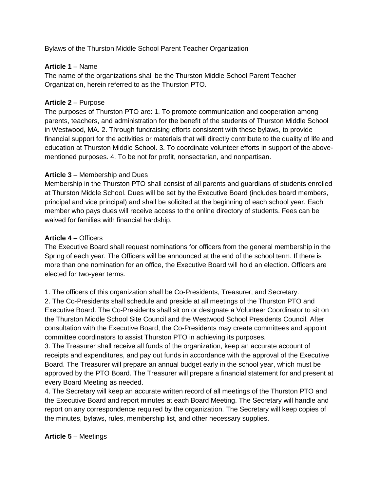Bylaws of the Thurston Middle School Parent Teacher Organization

#### **Article 1** – Name

The name of the organizations shall be the Thurston Middle School Parent Teacher Organization, herein referred to as the Thurston PTO.

#### **Article 2** – Purpose

The purposes of Thurston PTO are: 1. To promote communication and cooperation among parents, teachers, and administration for the benefit of the students of Thurston Middle School in Westwood, MA. 2. Through fundraising efforts consistent with these bylaws, to provide financial support for the activities or materials that will directly contribute to the quality of life and education at Thurston Middle School. 3. To coordinate volunteer efforts in support of the abovementioned purposes. 4. To be not for profit, nonsectarian, and nonpartisan.

#### **Article 3** – Membership and Dues

Membership in the Thurston PTO shall consist of all parents and guardians of students enrolled at Thurston Middle School. Dues will be set by the Executive Board (includes board members, principal and vice principal) and shall be solicited at the beginning of each school year. Each member who pays dues will receive access to the online directory of students. Fees can be waived for families with financial hardship.

#### **Article 4** – Officers

The Executive Board shall request nominations for officers from the general membership in the Spring of each year. The Officers will be announced at the end of the school term. If there is more than one nomination for an office, the Executive Board will hold an election. Officers are elected for two-year terms.

1. The officers of this organization shall be Co-Presidents, Treasurer, and Secretary.

2. The Co-Presidents shall schedule and preside at all meetings of the Thurston PTO and Executive Board. The Co-Presidents shall sit on or designate a Volunteer Coordinator to sit on the Thurston Middle School Site Council and the Westwood School Presidents Council. After consultation with the Executive Board, the Co-Presidents may create committees and appoint committee coordinators to assist Thurston PTO in achieving its purposes.

3. The Treasurer shall receive all funds of the organization, keep an accurate account of receipts and expenditures, and pay out funds in accordance with the approval of the Executive Board. The Treasurer will prepare an annual budget early in the school year, which must be approved by the PTO Board. The Treasurer will prepare a financial statement for and present at every Board Meeting as needed.

4. The Secretary will keep an accurate written record of all meetings of the Thurston PTO and the Executive Board and report minutes at each Board Meeting. The Secretary will handle and report on any correspondence required by the organization. The Secretary will keep copies of the minutes, bylaws, rules, membership list, and other necessary supplies.

## **Article 5** – Meetings